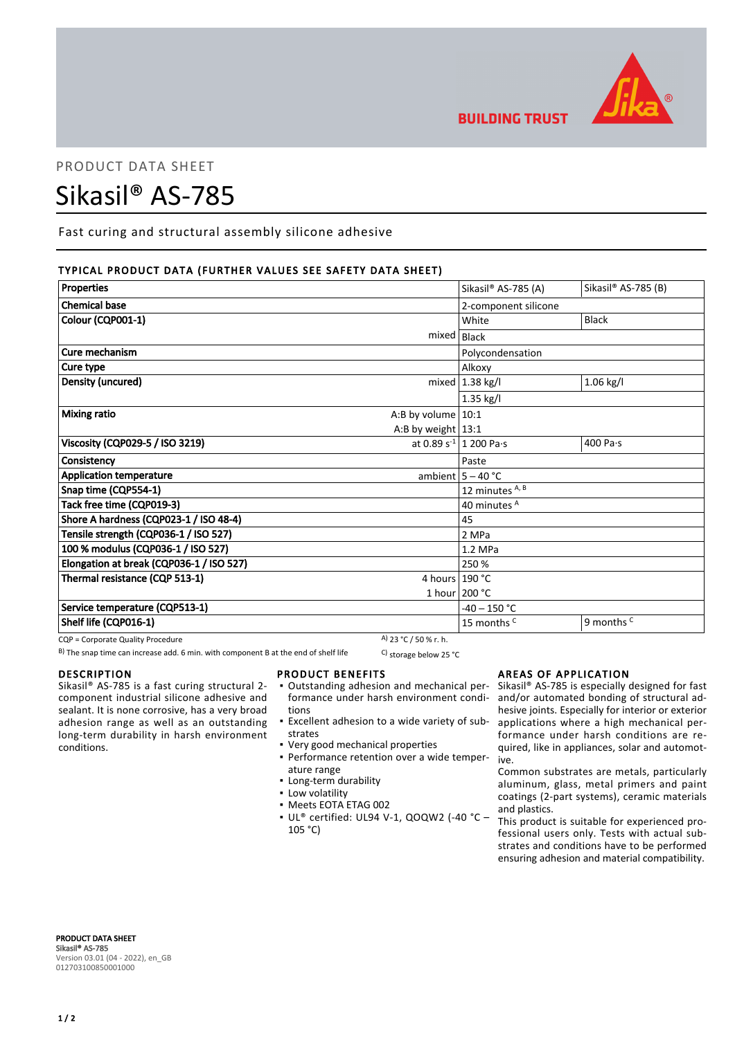

**BUILDING TRUST** 

# PRODUCT DATA SHEET

# Sikasil® AS-785

Fast curing and structural assembly silicone adhesive

# TYPICAL PRODUCT DATA (FURTHER VALUES SEE SAFETY DATA SHEET)

| Properties                                                          |                       | Sikasil® AS-785 (A)         | Sikasil® AS-785 (B)   |
|---------------------------------------------------------------------|-----------------------|-----------------------------|-----------------------|
| <b>Chemical base</b>                                                |                       | 2-component silicone        |                       |
| Colour (CQP001-1)                                                   |                       | White                       | <b>Black</b>          |
|                                                                     | mixed                 | <b>Black</b>                |                       |
| Cure mechanism                                                      |                       | Polycondensation            |                       |
| Cure type                                                           |                       | Alkoxy                      |                       |
| Density (uncured)                                                   |                       | mixed $ 1.38$ kg/l          | $1.06$ kg/l           |
|                                                                     |                       | $1.35$ kg/l                 |                       |
| <b>Mixing ratio</b><br>A:B by volume $10:1$<br>A:B by weight $13:1$ |                       |                             |                       |
|                                                                     |                       |                             |                       |
| Viscosity (CQP029-5 / ISO 3219)                                     |                       | at 0.89 $s^{-1}$ 1 200 Pa·s | 400 Pa·s              |
| Consistency                                                         |                       | Paste                       |                       |
| <b>Application temperature</b>                                      |                       | ambient $5 - 40$ °C         |                       |
| Snap time (CQP554-1)                                                |                       | 12 minutes A, B             |                       |
| Tack free time (CQP019-3)                                           |                       | 40 minutes A                |                       |
| Shore A hardness (CQP023-1 / ISO 48-4)                              |                       | 45                          |                       |
| Tensile strength (CQP036-1 / ISO 527)                               |                       | 2 MPa                       |                       |
| 100 % modulus (CQP036-1 / ISO 527)                                  |                       | 1.2 MPa                     |                       |
| Elongation at break (CQP036-1 / ISO 527)                            |                       | 250 %                       |                       |
| Thermal resistance (CQP 513-1)                                      | 4 hours 190 °C        |                             |                       |
|                                                                     |                       | 1 hour 200 °C               |                       |
| Service temperature (CQP513-1)                                      |                       | $-40 - 150 °C$              |                       |
| Shelf life (CQP016-1)                                               |                       | 15 months <sup>C</sup>      | 9 months <sup>c</sup> |
| CQP = Corporate Quality Procedure                                   | A) 23 °C / 50 % r. h. |                             |                       |

B) The snap time can increase add. 6 min. with component B at the end of shelf life C) storage below 25 °C

#### DESCRIPTION

Sikasil® AS-785 is a fast curing structural 2 component industrial silicone adhesive and sealant. It is none corrosive, has a very broad adhesion range as well as an outstanding long-term durability in harsh environment conditions.

#### PRODUCT BENEFITS

- Outstanding adhesion and mechanical per-▪ formance under harsh environment conditions
- **Excellent adhesion to a wide variety of sub**strates
- Very good mechanical properties
- Performance retention over a wide temper-▪ ature range
- Long-term durability
- **·** Low volatility
- Meets EOTA ETAG 002
- UL® certified: UL94 V-1, QOQW2 (-40 °C ▪ 105 °C)

# AREAS OF APPLICATION

Sikasil® AS-785 is especially designed for fast and/or automated bonding of structural adhesive joints. Especially for interior or exterior applications where a high mechanical performance under harsh conditions are required, like in appliances, solar and automotive.

Common substrates are metals, particularly aluminum, glass, metal primers and paint coatings (2-part systems), ceramic materials and plastics.

This product is suitable for experienced professional users only. Tests with actual substrates and conditions have to be performed ensuring adhesion and material compatibility.

PRODUCT DATA SHEET Sikasil® AS-785 Version 03.01 (04 - 2022), en\_GB 012703100850001000

# $1/2$